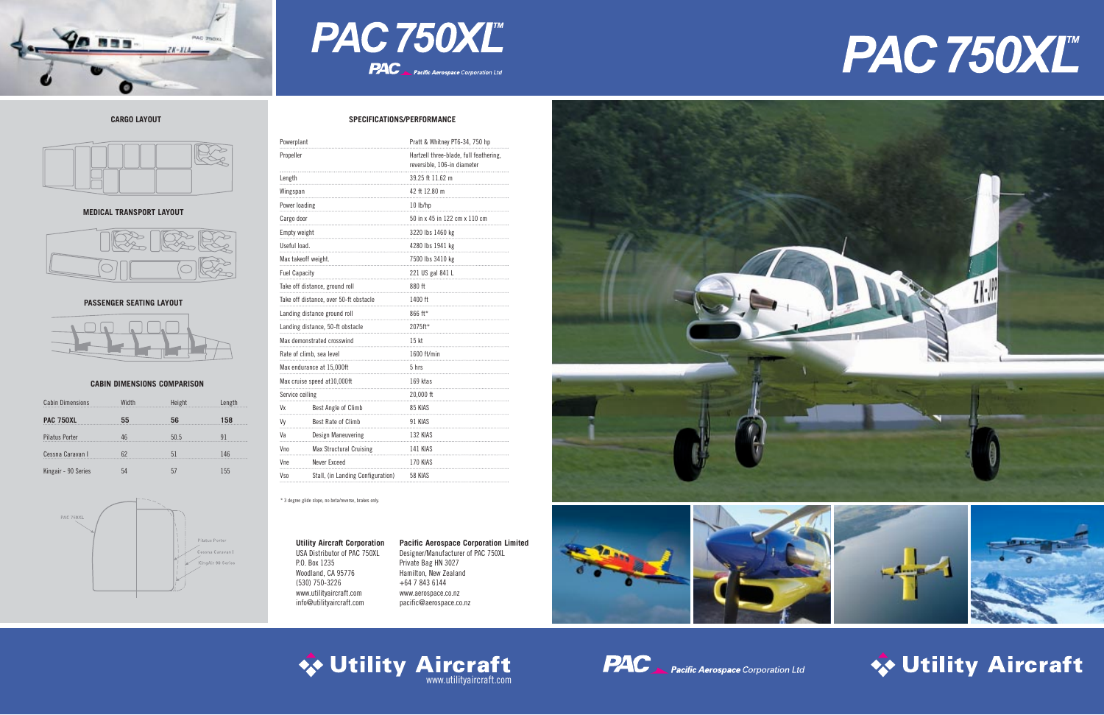

# PAC 750XL **PAC** Pacific Aerospace Corporation Ltd

| Powerplant                             |                                   | Pratt & Whitney PT6-34, 750 hp                                        |  |
|----------------------------------------|-----------------------------------|-----------------------------------------------------------------------|--|
| Propeller                              |                                   | Hartzell three-blade, full feathering,<br>reversible, 106-in diameter |  |
| Length                                 |                                   | 39.25 ft 11.62 m                                                      |  |
| Wingspan                               |                                   | 42 ft 12.80 m                                                         |  |
| Power loading                          |                                   | 10 lb/hp                                                              |  |
| Cargo door                             |                                   | 50 in x 45 in 122 cm x 110 cm                                         |  |
| Empty weight                           |                                   | 3220 lbs 1460 kg                                                      |  |
| Useful load.                           |                                   | 4280 lbs 1941 kg                                                      |  |
| Max takeoff weight.                    |                                   | 7500 lbs 3410 kg                                                      |  |
| <b>Fuel Capacity</b>                   |                                   | 221 US gal 841 L                                                      |  |
| Take off distance, ground roll         |                                   | 880 ft                                                                |  |
| Take off distance, over 50-ft obstacle |                                   | 1400 ft                                                               |  |
| Landing distance ground roll           |                                   | 866 ft*                                                               |  |
| Landing distance, 50-ft obstacle       |                                   | 2075ft*                                                               |  |
| Max demonstrated crosswind             |                                   | 15 kt                                                                 |  |
| Rate of climb, sea level               |                                   | 1600 ft/min                                                           |  |
| Max endurance at 15,000ft              |                                   | 5 hrs                                                                 |  |
| Max cruise speed at 10,000ft           |                                   | 169 ktas                                                              |  |
| Service ceiling                        |                                   | 20,000 ft                                                             |  |
| Vx                                     | Best Angle of Climb               | 85 KIAS                                                               |  |
| Vv                                     | Best Rate of Climb                | 91 KIAS                                                               |  |
| Vа                                     | Design Maneuvering                | 132 KIAS                                                              |  |
| V <sub>no</sub>                        | <b>Max Structural Cruising</b>    | 141 KIAS                                                              |  |
| Vne                                    | Never Exceed                      | 170 KIAS                                                              |  |
| V <sub>so</sub>                        | Stall, (in Landing Configuration) | 58 KIAS                                                               |  |

#### **CABIN DIMENSIONS COMPARISON**

#### **SPECIFICATIONS/PERFORMANCE**

**Utility Aircraft Corporation** USA Distributor of PAC 750XL P.O. Box 1235 Woodland, CA 95776 (530) 750-3226 www.utilityaircraft.com info@utilityaircraft.com







## **◆ Utility Aircraft**

**Pacific Aerospace Corporation Limited** Designer/Manufacturer of PAC 750XL Private Bag HN 3027 Hamilton, New Zealand +64 7 843 6144 www.aerospace.co.nz pacific@aerospace.co.nz





| <b>Cabin Dimensions</b> | Width | Height | Length |
|-------------------------|-------|--------|--------|
| <b>PAC 750XL</b>        | 55    | 56     | 158    |
| <b>Pilatus Porter</b>   | 46    | 50.5   | 91     |
| Cessna Caravan I        | 62    | 51     | 146    |
| Kingair - 90 Series     | 54    | 57     | 155    |



\* 3 degree glide slope, no beta/reverse, brakes only.

### **CARGO LAYOUT**



#### **MEDICAL TRANSPORT LAYOUT**



#### **PASSENGER SEATING LAYOUT**